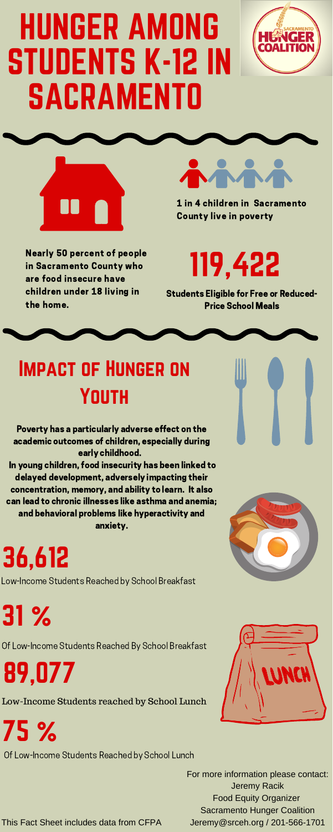## HUNGER AMONG STUDENTS K-12 IN SACRAMENTO





Nearly 50 percent of people in Sacramento County who are food insecure have children under 18 living in the home.



1 in 4 children in Sacramento County live in poverty

### Impact of Hunger on **YOUTH**

31 %

75 %

119,422

This Fact Sheet includes data from CFPA

For more information please contact: Jeremy Racik Food Equity Organizer Sacramento Hunger Coalition Jeremy@srceh.org / 201-566-1701





Students Eligible for Free or Reduced-Price School Meals

Of Low-Income Students Reached by School Lunch

Poverty has a particularly adverse effect on the academic outcomes of children, especially during early childhood.

In young children, food insecurity has been linked to delayed development, adversely impacting their concentration, memory, and ability to learn. It also can lead to chronic illnesses like asthma and anemia; and behavioral problems like hyperactivity and anxiety.

36,612

89,077

Low-Income Students Reached by School Breakfast

Low-Income Students reached by School Lunch

Of Low-Income Students Reached By School Breakfast